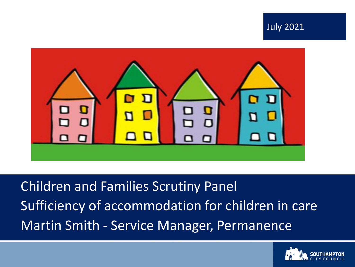



Children and Families Scrutiny Panel Sufficiency of accommodation for children in care Martin Smith - Service Manager, Permanence

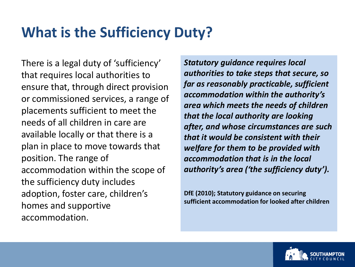### **What is the Sufficiency Duty?**

There is a legal duty of 'sufficiency' that requires local authorities to ensure that, through direct provision or commissioned services, a range of placements sufficient to meet the needs of all children in care are available locally or that there is a plan in place to move towards that position. The range of accommodation within the scope of the sufficiency duty includes adoption, foster care, children's homes and supportive accommodation.

*Statutory guidance requires local authorities to take steps that secure, so far as reasonably practicable, sufficient accommodation within the authority's area which meets the needs of children that the local authority are looking after, and whose circumstances are such that it would be consistent with their welfare for them to be provided with accommodation that is in the local authority's area ('the sufficiency duty').*

**DfE (2010); Statutory guidance on securing sufficient accommodation for looked after children**

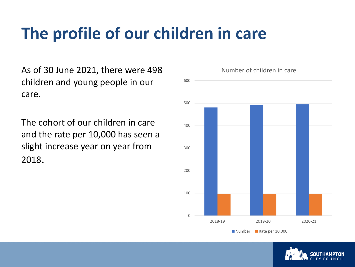As of 30 June 2021, there were 498 children and young people in our care.

The cohort of our children in care and the rate per 10,000 has seen a slight increase year on year from 2018.



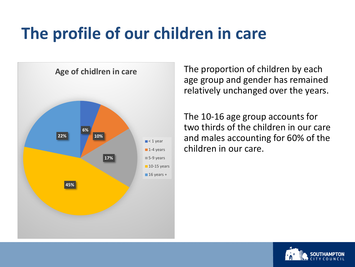

The proportion of children by each age group and gender has remained relatively unchanged over the years.

The 10-16 age group accounts for two thirds of the children in our care and males accounting for 60% of the children in our care.

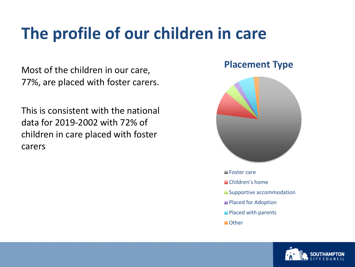Most of the children in our care, 77%, are placed with foster carers.

This is consistent with the national data for 2019-2002 with 72% of children in care placed with foster carers

#### **Placement Type**



- 
- Children's home
- Supportive accommodation
- **Placed for Adoption**
- **Placed with parents**
- **Other**

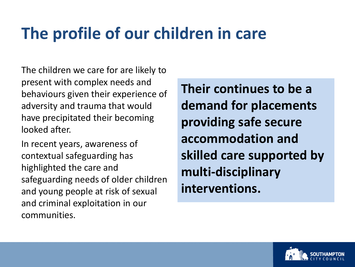The children we care for are likely to present with complex needs and behaviours given their experience of adversity and trauma that would have precipitated their becoming looked after.

In recent years, awareness of contextual safeguarding has highlighted the care and safeguarding needs of older children and young people at risk of sexual and criminal exploitation in our communities.

**Their continues to be a demand for placements providing safe secure accommodation and skilled care supported by multi-disciplinary interventions.**

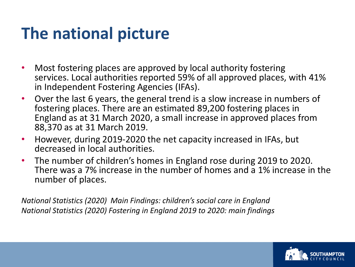## **The national picture**

- Most fostering places are approved by local authority fostering services. Local authorities reported 59% of all approved places, with 41% in Independent Fostering Agencies (IFAs).
- Over the last 6 years, the general trend is a slow increase in numbers of fostering places. There are an estimated 89,200 fostering places in England as at 31 March 2020, a small increase in approved places from 88,370 as at 31 March 2019.
- However, during 2019-2020 the net capacity increased in IFAs, but decreased in local authorities.
- The number of children's homes in England rose during 2019 to 2020. There was a 7% increase in the number of homes and a 1% increase in the number of places.

*National Statistics (2020) Main Findings: children's social care in England National Statistics (2020) Fostering in England 2019 to 2020: main findings*

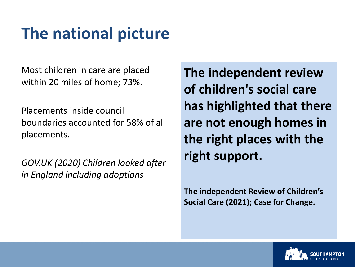## **The national picture**

Most children in care are placed within 20 miles of home; 73%.

Placements inside council boundaries accounted for 58% of all placements.

*GOV.UK (2020) Children looked after in England including adoptions*

**The independent review of children's social care has highlighted that there are not enough homes in the right places with the right support.**

**The independent Review of Children's Social Care (2021); Case for Change.** 

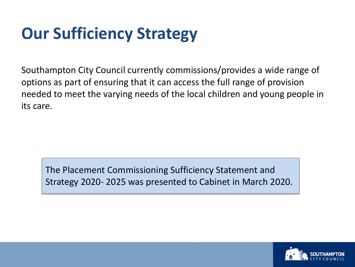## **Our Sufficiency Strategy**

Southampton City Council currently commissions/provides a wide range of options as part of ensuring that it can access the full range of provision needed to meet the varying needs of the local children and young people in its care.

The Placement Commissioning Sufficiency Statement and Strategy 2020- 2025 was presented to Cabinet in March 2020.

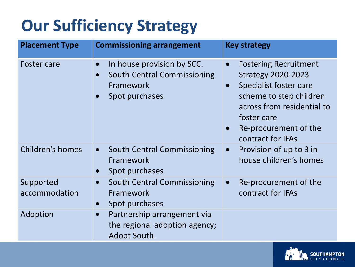## **Our Sufficiency Strategy**

| <b>Placement Type</b>      | <b>Commissioning arrangement</b>                                                                | <b>Key strategy</b>                                                                                                                                                                                                                 |
|----------------------------|-------------------------------------------------------------------------------------------------|-------------------------------------------------------------------------------------------------------------------------------------------------------------------------------------------------------------------------------------|
| <b>Foster care</b>         | In house provision by SCC.<br><b>South Central Commissioning</b><br>Framework<br>Spot purchases | <b>Fostering Recruitment</b><br>$\bullet$<br><b>Strategy 2020-2023</b><br>Specialist foster care<br>$\bullet$<br>scheme to step children<br>across from residential to<br>foster care<br>Re-procurement of the<br>contract for IFAs |
| Children's homes           | <b>South Central Commissioning</b><br>$\bullet$<br>Framework<br>Spot purchases                  | Provision of up to 3 in<br>$\bullet$<br>house children's homes                                                                                                                                                                      |
| Supported<br>accommodation | <b>South Central Commissioning</b><br>$\bullet$<br>Framework<br>Spot purchases                  | Re-procurement of the<br>$\bullet$<br>contract for IFAs                                                                                                                                                                             |
| Adoption                   | Partnership arrangement via<br>$\bullet$<br>the regional adoption agency;<br>Adopt South.       |                                                                                                                                                                                                                                     |

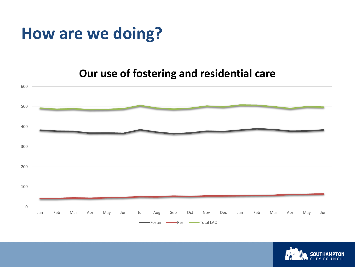### **How are we doing?**

#### **Our use of fostering and residential care**



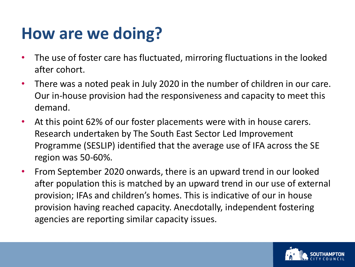### **How are we doing?**

- The use of foster care has fluctuated, mirroring fluctuations in the looked after cohort.
- There was a noted peak in July 2020 in the number of children in our care. Our in-house provision had the responsiveness and capacity to meet this demand.
- At this point 62% of our foster placements were with in house carers. Research undertaken by The South East Sector Led Improvement Programme (SESLIP) identified that the average use of IFA across the SE region was 50-60%.
- From September 2020 onwards, there is an upward trend in our looked after population this is matched by an upward trend in our use of external provision; IFAs and children's homes. This is indicative of our in house provision having reached capacity. Anecdotally, independent fostering agencies are reporting similar capacity issues.

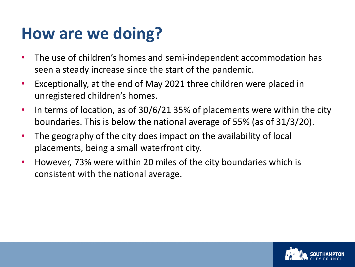### **How are we doing?**

- The use of children's homes and semi-independent accommodation has seen a steady increase since the start of the pandemic.
- Exceptionally, at the end of May 2021 three children were placed in unregistered children's homes.
- In terms of location, as of 30/6/21 35% of placements were within the city boundaries. This is below the national average of 55% (as of 31/3/20).
- The geography of the city does impact on the availability of local placements, being a small waterfront city.
- However, 73% were within 20 miles of the city boundaries which is consistent with the national average.

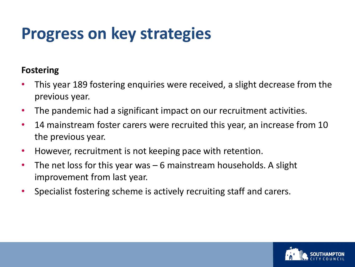## **Progress on key strategies**

#### **Fostering**

- This year 189 fostering enquiries were received, a slight decrease from the previous year.
- The pandemic had a significant impact on our recruitment activities.
- 14 mainstream foster carers were recruited this year, an increase from 10 the previous year.
- However, recruitment is not keeping pace with retention.
- The net loss for this year was 6 mainstream households. A slight improvement from last year.
- Specialist fostering scheme is actively recruiting staff and carers.

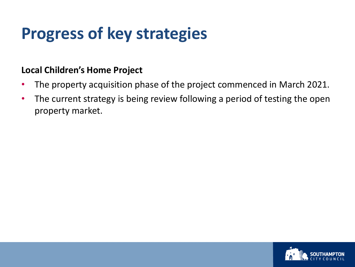## **Progress of key strategies**

#### **Local Children's Home Project**

- The property acquisition phase of the project commenced in March 2021.
- The current strategy is being review following a period of testing the open property market.

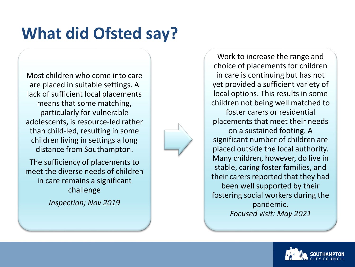# **What did Ofsted say?**

Most children who come into care are placed in suitable settings. A lack of sufficient local placements means that some matching, particularly for vulnerable adolescents, is resource-led rather than child-led, resulting in some children living in settings a long distance from Southampton.

The sufficiency of placements to meet the diverse needs of children in care remains a significant challenge

*Inspection; Nov 2019*

choice of placements for children in care is continuing but has not yet provided a sufficient variety of local options. This results in some children not being well matched to foster carers or residential

Work to increase the range and

placements that meet their needs on a sustained footing. A significant number of children are placed outside the local authority. Many children, however, do live in stable, caring foster families, and their carers reported that they had been well supported by their fostering social workers during the pandemic. *Focused visit: May 2021*

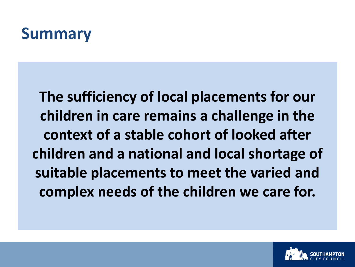### **Summary**

**The sufficiency of local placements for our children in care remains a challenge in the context of a stable cohort of looked after children and a national and local shortage of suitable placements to meet the varied and complex needs of the children we care for.**